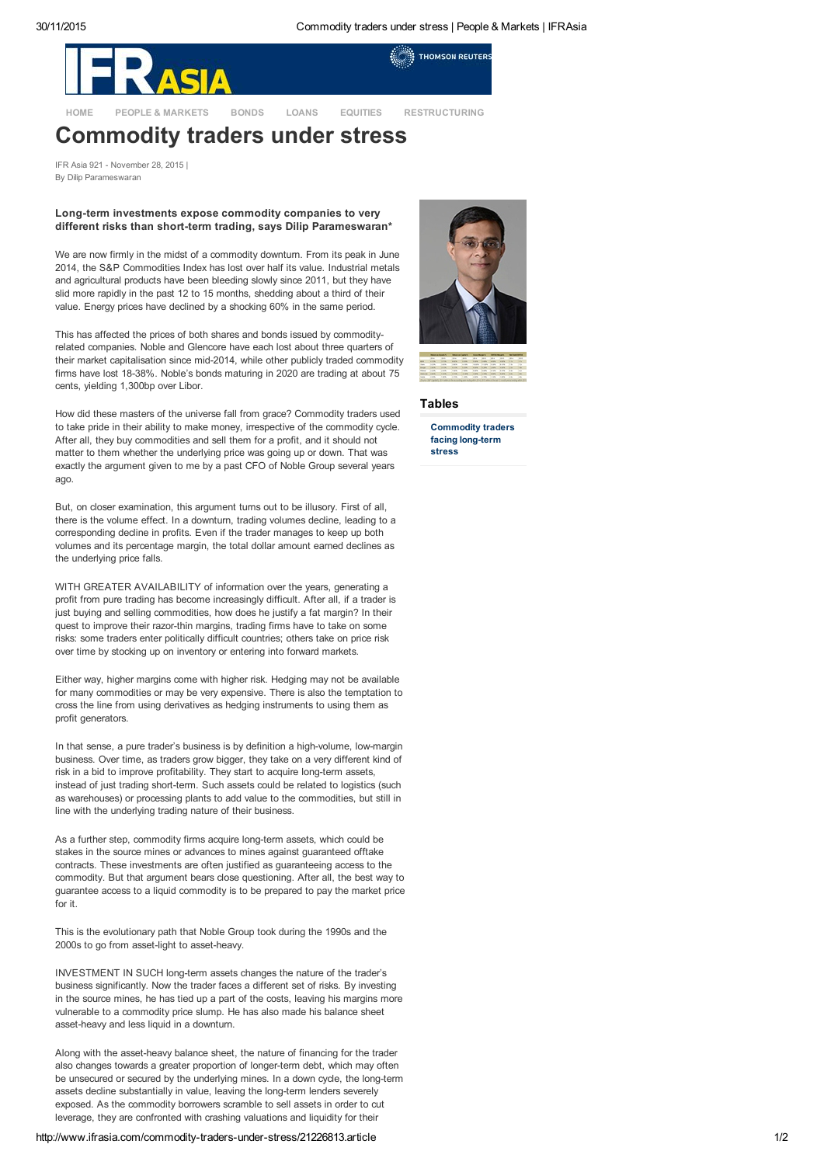**THOMSON REUTERS** 



[HOME](http://www.ifrasia.com/home/) PEOPLE & [MARKETS](http://www.ifrasia.com/people-and-markets/) [BONDS](http://www.ifrasia.com/bonds/) [LOANS](http://www.ifrasia.com/loans/) [EQUITIES](http://www.ifrasia.com/equities/) [RESTRUCTURING](http://www.ifrasia.com/restructuring/)

# Commodity traders under stress

IFR Asia 921 November 28, 2015 | By Dilip Parameswaran

#### Long-term investments expose commodity companies to very different risks than short-term trading, says Dilip Parameswaran\*

We are now firmly in the midst of a commodity downturn. From its peak in June 2014, the S&P Commodities Index has lost over half its value. Industrial metals and agricultural products have been bleeding slowly since 2011, but they have slid more rapidly in the past 12 to 15 months, shedding about a third of their value. Energy prices have declined by a shocking 60% in the same period.

This has affected the prices of both shares and bonds issued by commodityrelated companies. Noble and Glencore have each lost about three quarters of their market capitalisation since mid-2014, while other publicly traded commodity firms have lost 18-38%. Noble's bonds maturing in 2020 are trading at about 75 cents, yielding 1,300bp over Libor.

How did these masters of the universe fall from grace? Commodity traders used to take pride in their ability to make money, irrespective of the commodity cycle. After all, they buy commodities and sell them for a profit, and it should not matter to them whether the underlying price was going up or down. That was exactly the argument given to me by a past CFO of Noble Group several years ago.

But, on closer examination, this argument turns out to be illusory. First of all, there is the volume effect. In a downturn, trading volumes decline, leading to a corresponding decline in profits. Even if the trader manages to keep up both volumes and its percentage margin, the total dollar amount earned declines as the underlying price falls.

WITH GREATER AVAILABILITY of information over the years, generating a profit from pure trading has become increasingly difficult. After all, if a trader is just buying and selling commodities, how does he justify a fat margin? In their quest to improve their razor-thin margins, trading firms have to take on some risks: some traders enter politically difficult countries; others take on price risk over time by stocking up on inventory or entering into forward markets.

Either way, higher margins come with higher risk. Hedging may not be available for many commodities or may be very expensive. There is also the temptation to cross the line from using derivatives as hedging instruments to using them as profit generators.

In that sense, a pure trader's business is by definition a high-volume, low-margin business. Over time, as traders grow bigger, they take on a very different kind of risk in a bid to improve profitability. They start to acquire long-term assets, instead of just trading short-term. Such assets could be related to logistics (such as warehouses) or processing plants to add value to the commodities, but still in line with the underlying trading nature of their business.

As a further step, commodity firms acquire long-term assets, which could be stakes in the source mines or advances to mines against guaranteed offtake contracts. These investments are often justified as guaranteeing access to the commodity. But that argument bears close questioning. After all, the best way to guarantee access to a liquid commodity is to be prepared to pay the market price for it.

This is the evolutionary path that Noble Group took during the 1990s and the 2000s to go from asset-light to asset-heavy.

INVESTMENT IN SUCH long-term assets changes the nature of the trader's business significantly. Now the trader faces a different set of risks. By investing in the source mines, he has tied up a part of the costs, leaving his margins more vulnerable to a commodity price slump. He has also made his balance sheet asset-heavy and less liquid in a downturn.

Along with the asset-heavy balance sheet, the nature of financing for the trader also changes towards a greater proportion of longer-term debt, which may often be unsecured or secured by the underlying mines. In a down cycle, the long-term assets decline substantially in value, leaving the long-term lenders severely exposed. As the commodity borrowers scramble to sell assets in order to cut leverage, they are confronted with crashing valuations and liquidity for their





### Tables

[Commodity](http://www.ifrasia.com/attachments.aspx?js=yes&height=auto&width=900&storycode=21226813&attype=T&atcode=304980) traders facing long-term stress